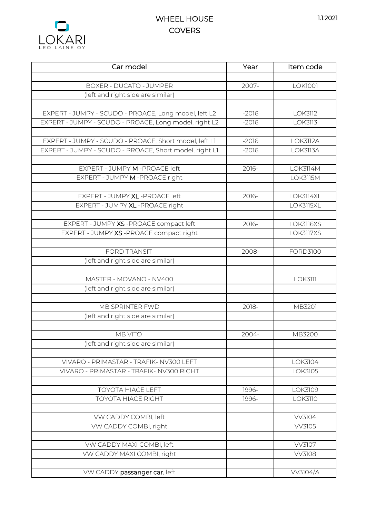## 1.1.2021





| Car model                                              | Year    | Item code       |
|--------------------------------------------------------|---------|-----------------|
|                                                        |         |                 |
| <b>BOXER - DUCATO - JUMPER</b>                         | 2007-   | <b>LOK1001</b>  |
| (left and right side are similar)                      |         |                 |
|                                                        |         |                 |
| EXPERT - JUMPY - SCUDO - PROACE, Long model, left L2   | $-2016$ | <b>LOK3112</b>  |
| EXPERT - JUMPY - SCUDO - PROACE, Long model, right L2  | $-2016$ | <b>LOK3113</b>  |
|                                                        |         |                 |
| EXPERT - JUMPY - SCUDO - PROACE, Short model, left L1  | $-2016$ | <b>LOK3112A</b> |
| EXPERT - JUMPY - SCUDO - PROACE, Short model, right L1 | $-2016$ | <b>LOK3113A</b> |
| EXPERT - JUMPY M -PROACE left                          | 2016-   | <b>LOK3114M</b> |
|                                                        |         | <b>LOK3115M</b> |
| EXPERT - JUMPY M -PROACE right                         |         |                 |
| EXPERT - JUMPY XL - PROACE left                        | 2016-   | LOK3114XL       |
| EXPERT - JUMPY XL -PROACE right                        |         | LOK3115XL       |
|                                                        |         |                 |
| EXPERT - JUMPY XS - PROACE compact left                | 2016-   | LOK3116XS       |
| EXPERT - JUMPY XS - PROACE compact right               |         | LOK3117XS       |
|                                                        |         |                 |
| <b>FORD TRANSIT</b>                                    | 2008-   | <b>FORD3100</b> |
| (left and right side are similar)                      |         |                 |
|                                                        |         |                 |
| MASTER - MOVANO - NV400                                |         | <b>LOK3111</b>  |
| (left and right side are similar)                      |         |                 |
|                                                        |         |                 |
| MB SPRINTER FWD                                        | 2018-   | MB3201          |
| (left and right side are similar)                      |         |                 |
|                                                        |         |                 |
| <b>MB VITO</b>                                         | 2004-   | MB3200          |
| (left and right side are similar)                      |         |                 |
|                                                        |         |                 |
| VIVARO - PRIMASTAR - TRAFIK- NV300 LEFT                |         | LOK3104         |
| VIVARO - PRIMASTAR - TRAFIK- NV300 RIGHT               |         | LOK3105         |
| <b>TOYOTA HIACE LEFT</b>                               | 1996-   | LOK3109         |
| <b>TOYOTA HIACE RIGHT</b>                              | 1996-   | <b>LOK3110</b>  |
|                                                        |         |                 |
| VW CADDY COMBI, left                                   |         | <b>VV3104</b>   |
| VW CADDY COMBI, right                                  |         | <b>VV3105</b>   |
|                                                        |         |                 |
| VW CADDY MAXI COMBI, left                              |         | <b>VV3107</b>   |
| VW CADDY MAXI COMBI, right                             |         | <b>VV3108</b>   |
|                                                        |         |                 |
| VW CADDY passanger car, left                           |         | <b>VV3104/A</b> |